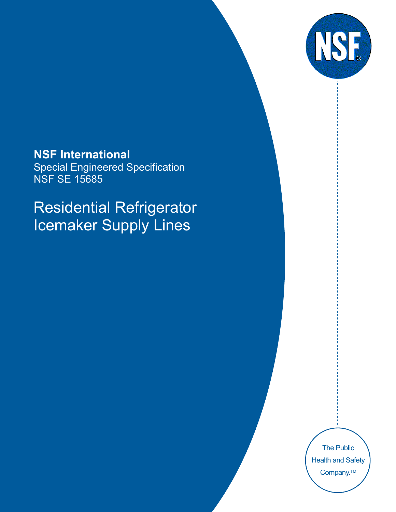

**NSF International**  Special Engineered Specification NSF SE 15685

Residential Refrigerator Icemaker Supply Lines

> The Public Health and Safety Company.<sup>™</sup>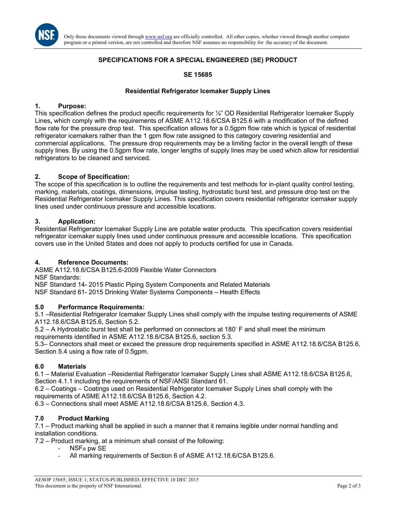

Only those documents viewed through www.nsf.org are officially controlled. All other copies, whether viewed through another computer program or a printed version, are not controlled and therefore NSF assumes no responsibility for the accuracy of the document.

### **SPECIFICATIONS FOR A SPECIAL ENGINEERED (SE) PRODUCT**

#### **SE 15685**

#### **Residential Refrigerator Icemaker Supply Lines**

#### **1. Purpose:**

This specification defines the product specific requirements for ¼" OD Residential Refrigerator Icemaker Supply Lines**,** which comply with the requirements of ASME A112.18.6/CSA B125.6 with a modification of the defined flow rate for the pressure drop test. This specification allows for a 0.5gpm flow rate which is typical of residential refrigerator icemakers rather than the 1 gpm flow rate assigned to this category covering residential and commercial applications. The pressure drop requirements may be a limiting factor in the overall length of these supply lines. By using the 0.5gpm flow rate, longer lengths of supply lines may be used which allow for residential refrigerators to be cleaned and serviced.

#### **2. Scope of Specification:**

The scope of this specification is to outline the requirements and test methods for in-plant quality control testing, marking, materials, coatings, dimensions, impulse testing, hydrostatic burst test, and pressure drop test on the Residential Refrigerator Icemaker Supply Lines. This specification covers residential refrigerator icemaker supply lines used under continuous pressure and accessible locations.

#### **3. Application:**

Residential Refrigerator Icemaker Supply Line are potable water products. This specification covers residential refrigerator icemaker supply lines used under continuous pressure and accessible locations. This specification covers use in the United States and does not apply to products certified for use in Canada.

#### **4. Reference Documents:**

ASME A112.18.6/CSA B125.6-2009 Flexible Water Connectors

NSF Standards:

NSF Standard 14- 2015 Plastic Piping System Components and Related Materials

NSF Standard 61- 2015 Drinking Water Systems Components – Health Effects

#### **5.0 Performance Requirements:**

5.1 –Residential Refrigerator Icemaker Supply Lines shall comply with the impulse testing requirements of ASME A112.18.6/CSA B125.6, Section 5.2.

5.2 – A Hydrostatic burst test shall be performed on connectors at 180◦ F and shall meet the minimum requirements identified in ASME A112.18.6/CSA B125.6, section 5.3.

5.3– Connectors shall meet or exceed the pressure drop requirements specified in ASME A112.18.6/CSA B125.6, Section 5.4 using a flow rate of 0.5gpm.

#### **6.0 Materials**

6.1 – Material Evaluation –Residential Refrigerator Icemaker Supply Lines shall ASME A112.18.6/CSA B125.6, Section 4.1.1 including the requirements of NSF/ANSI Standard 61.

6.2 – Coatings – Coatings used on Residential Refrigerator Icemaker Supply Lines shall comply with the requirements of ASME A112.18.6/CSA B125.6, Section 4.2.

6.3 – Connections shall meet ASME A112.18.6/CSA B125.6, Section 4.3.

#### **7.0 Product Marking**

7.1 – Product marking shall be applied in such a manner that it remains legible under normal handling and installation conditions.

7.2 – Product marking, at a minimum shall consist of the following:

- NSF® pw SE
- All marking requirements of Section 6 of ASME A112.18.6/CSA B125.6.